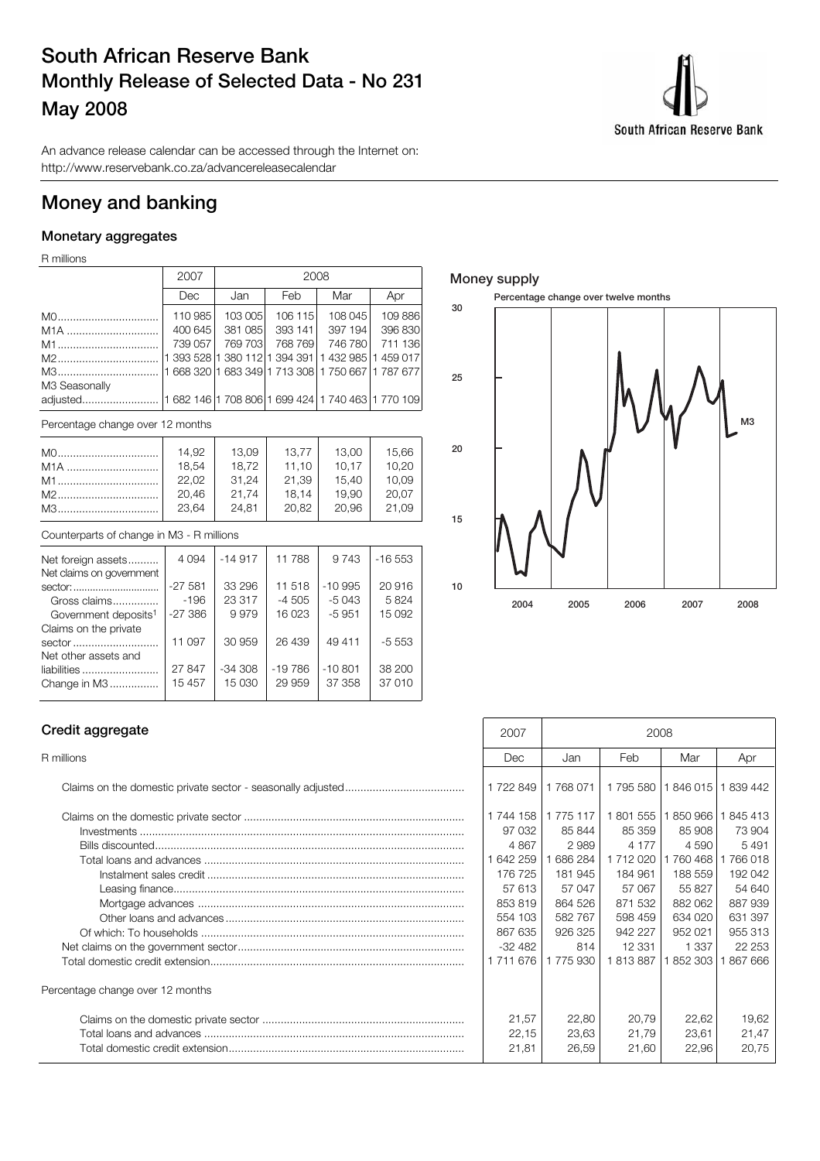## **South African Reserve Bank Monthly Release of Selected Data - No 231 May 2008**



An advance release calendar can be accessed through the Internet on: http://www.reservebank.co.za/advancereleasecalendar

## **Money and banking**

## **Monetary aggregates**

R millions

|                  | 2007    | 2008    |         |                                                         |         |  |
|------------------|---------|---------|---------|---------------------------------------------------------|---------|--|
|                  | Dec     | Jan     | Feb     | Mar                                                     | Apr     |  |
|                  | 110 985 | 103 005 | 106 115 | 108 045                                                 | 109 886 |  |
| M <sub>1</sub> A | 400 645 | 381 085 | 393 141 | 397 194                                                 | 396 830 |  |
| M1               | 739 057 | 769 703 | 768769  | 746 780                                                 | 711 136 |  |
| M2               |         |         |         | 1 393 528  1 380 112  1 394 391   1 432 985   1 459 017 |         |  |
| M3               |         |         |         | 1 668 320  1 683 349  1 713 308   1 750 667   1 787 677 |         |  |
| M3 Seasonally    |         |         |         |                                                         |         |  |
|                  |         |         |         |                                                         |         |  |

Percentage change over 12 months

|     | 14.92 | 13,09 | 13.77 | 13,00 | 15,66 |
|-----|-------|-------|-------|-------|-------|
| M1A | 18,54 | 18.72 | 11.10 | 10.17 | 10.20 |
|     | 22.02 | 31.24 | 21.39 | 15.40 | 10.09 |
|     | 20,46 | 21.74 | 18.14 | 19.90 | 20.07 |
| M3  | 23.64 | 24.81 | 20.82 | 20.96 | 21.09 |

#### Counterparts of change in M3 - R millions

| Net foreign assets               | 4 0 9 4   | $-14917$ | 11788    | 9 7 4 3   | $-16553$ |
|----------------------------------|-----------|----------|----------|-----------|----------|
| Net claims on government         |           |          |          |           |          |
| sector:                          | $-27581$  | 33 296   | 11 518   | $-10.995$ | 20 916   |
| Gross claims                     | $-196$    | 23 317   | $-4505$  | $-5043$   | 5824     |
| Government deposits <sup>1</sup> | $-27.386$ | 9979     | 16 023   | $-5951$   | 15 092   |
| Claims on the private            |           |          |          |           |          |
| sector                           | 11 097    | 30 959   | 26 439   | 49 411    | $-5.553$ |
| Net other assets and             |           |          |          |           |          |
| liabilities                      | 27 847    | $-34308$ | $-19786$ | $-10.801$ | 38 200   |
| Change in M3                     | 15 4 5 7  | 15 030   | 29 959   | 37 358    | 37 010   |
|                                  |           |          |          |           |          |

## **Money supply**



### **Credit aggregate**

| Percentage change over 12 months |
|----------------------------------|
|                                  |
|                                  |
|                                  |

| Credit aggregate                 | 2008<br>2007 |           |           |         |         |
|----------------------------------|--------------|-----------|-----------|---------|---------|
| R millions                       | Dec          | Jan       | Feb       | Mar     | Apr     |
|                                  | 1 722 849    | 1768071   | 1 795 580 | 1846015 | 839 442 |
|                                  | 1744 158     | 1 775 117 | 1801555   | 1850966 | 845 413 |
|                                  | 97 032       | 85 844    | 85 359    | 85 908  | 73 904  |
|                                  | 4 8 6 7      | 2989      | 4 1 7 7   | 4 5 9 0 | 5491    |
|                                  | 1 642 259    | 686 284   | 1712020   | 760 468 | 766 018 |
|                                  | 176 725      | 181 945   | 184 961   | 188 559 | 192 042 |
|                                  | 57 613       | 57 047    | 57 067    | 55827   | 54 640  |
|                                  | 853819       | 864 526   | 871 532   | 882 062 | 887 939 |
|                                  | 554 103      | 582 767   | 598 459   | 634 020 | 631 397 |
|                                  | 867 635      | 926 325   | 942 227   | 952 021 | 955 313 |
|                                  | $-32482$     | 814       | 12 331    | 1 3 3 7 | 22 253  |
|                                  | 1711676      | 1775930   | 813887    | 852 303 | 867 666 |
| Percentage change over 12 months |              |           |           |         |         |
|                                  | 21,57        | 22,80     | 20,79     | 22,62   | 19,62   |
|                                  | 22,15        | 23,63     | 21,79     | 23,61   | 21,47   |
|                                  | 21,81        | 26,59     | 21,60     | 22,96   | 20,75   |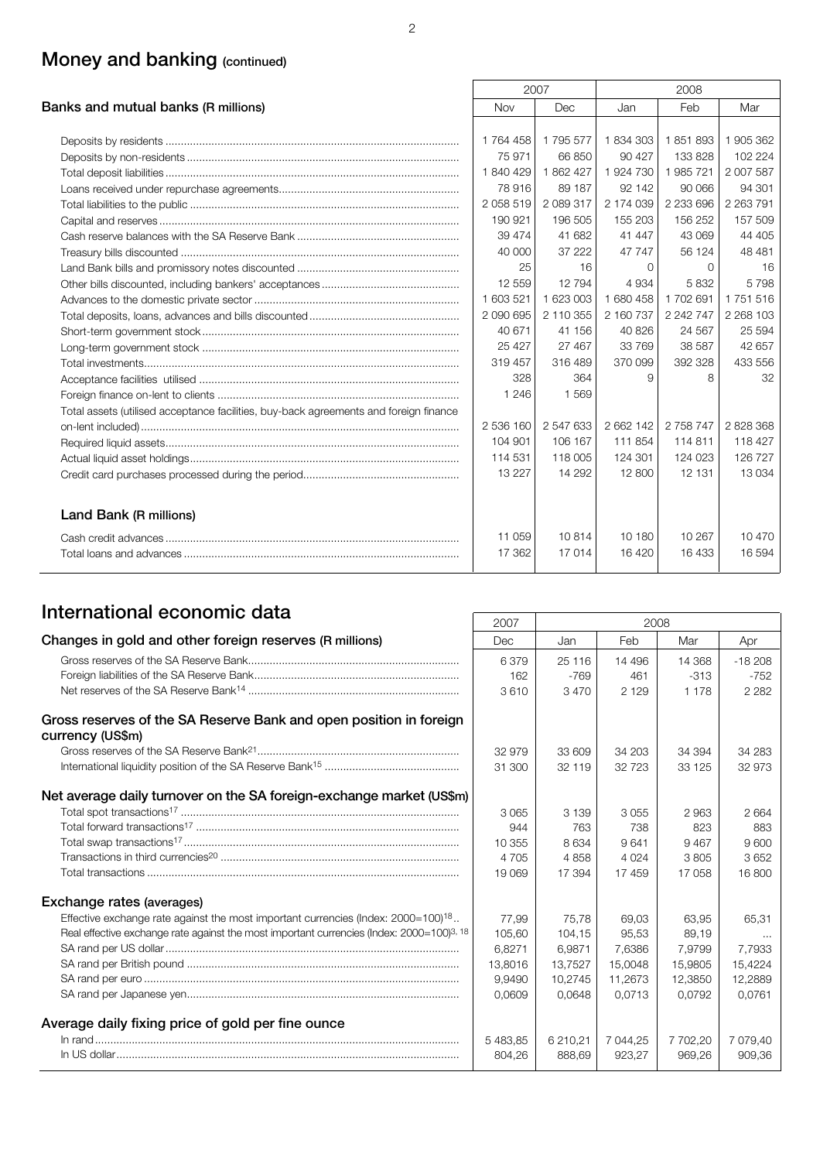## **Money and banking (continued)**

|                                                                                       |           | 2007      |           | 2008        |               |
|---------------------------------------------------------------------------------------|-----------|-----------|-----------|-------------|---------------|
| Banks and mutual banks (R millions)                                                   | Nov       | Dec       | Jan       | Feb         | Mar           |
|                                                                                       |           |           |           |             |               |
|                                                                                       | 1764458   | 1795 577  | 1834303   | 1851893     | 1 905 362     |
|                                                                                       | 75 971    | 66 850    | 90 427    | 133 828     | 102 224       |
|                                                                                       | 1840429   | 1862427   | 1924730   | 1985721     | 2 007 587     |
|                                                                                       | 78 916    | 89 187    | 92 142    | 90 066      | 94 301        |
|                                                                                       | 2058519   | 2 089 317 | 2 174 039 | 2 2 3 6 9 6 | 2 2 6 3 7 9 1 |
|                                                                                       | 190 921   | 196 505   | 155 203   | 156 252     | 157 509       |
|                                                                                       | 39 474    | 41 682    | 41 447    | 43 069      | 44 405        |
|                                                                                       | 40,000    | 37 222    | 47 747    | 56 124      | 48 481        |
|                                                                                       | 25        | 16        | $\Omega$  | $\Omega$    | 16            |
|                                                                                       | 12 559    | 12794     | 4 9 3 4   | 5832        | 5798          |
|                                                                                       | 1 603 521 | 1 623 003 | 1680458   | 1702691     | 1 751 516     |
|                                                                                       | 2 090 695 | 2 110 355 | 2 160 737 | 2 242 747   | 2 2 68 1 03   |
|                                                                                       | 40 671    | 41 156    | 40 826    | 24 5 67     | 25 5 94       |
|                                                                                       | 25 4 27   | 27 467    | 33 769    | 38 587      | 42 657        |
|                                                                                       | 319 457   | 316489    | 370 099   | 392 328     | 433 556       |
|                                                                                       | 328       | 364       | $\Omega$  | 8           | 32            |
|                                                                                       | 1 2 4 6   | 1569      |           |             |               |
| Total assets (utilised acceptance facilities, buy-back agreements and foreign finance |           |           |           |             |               |
|                                                                                       | 2 536 160 | 2 547 633 | 2 662 142 | 2 758 747   | 2828368       |
|                                                                                       | 104 901   | 106 167   | 111 854   | 114811      | 118 427       |
|                                                                                       | 114 531   | 118 005   | 124 301   | 124 023     | 126 727       |
|                                                                                       | 13 2 2 7  | 14 29 2   | 12 800    | 12 131      | 13 0 34       |
| Land Bank (R millions)                                                                |           |           |           |             |               |
|                                                                                       | 11 059    | 10814     | 10 180    | 10 267      | 10 470        |
|                                                                                       | 17 362    | 17014     | 16 4 20   | 16433       | 16 594        |
|                                                                                       |           |           |           |             |               |

# **International economic data** 2007 2008

|                                                                                                       | ZUU7     |          | ZUUS     |          |          |
|-------------------------------------------------------------------------------------------------------|----------|----------|----------|----------|----------|
| Changes in gold and other foreign reserves (R millions)                                               | Dec      | Jan      | Feb      | Mar      | Apr      |
|                                                                                                       | 6379     | 25 116   | 14 4 9 6 | 14 368   | $-18208$ |
|                                                                                                       | 162      | $-769$   | 461      | $-313$   | $-752$   |
|                                                                                                       | 3610     | 3470     | 2 1 2 9  | 1 1 7 8  | 2 2 8 2  |
| Gross reserves of the SA Reserve Bank and open position in foreign<br>currency (US\$m)                |          |          |          |          |          |
|                                                                                                       | 32 979   | 33 609   | 34 203   | 34 394   | 34 283   |
|                                                                                                       | 31 300   | 32 119   | 32723    | 33 1 25  | 32 973   |
| Net average daily turnover on the SA foreign-exchange market (US\$m)                                  |          |          |          |          |          |
|                                                                                                       | 3065     | 3 1 3 9  | 3055     | 2963     | 2 6 6 4  |
|                                                                                                       | 944      | 763      | 738      | 823      | 883      |
|                                                                                                       | 10 355   | 8634     | 9641     | 9467     | 9600     |
|                                                                                                       | 4 7 0 5  | 4858     | 4 0 24   | 3805     | 3652     |
|                                                                                                       | 19 069   | 17 394   | 17459    | 17 058   | 16 800   |
| Exchange rates (averages)                                                                             |          |          |          |          |          |
| Effective exchange rate against the most important currencies (Index: 2000=100) <sup>18</sup>         | 77,99    | 75.78    | 69.03    | 63.95    | 65,31    |
| Real effective exchange rate against the most important currencies (Index: 2000=100) <sup>3, 18</sup> | 105,60   | 104,15   | 95,53    | 89,19    |          |
|                                                                                                       | 6,8271   | 6,9871   | 7,6386   | 7,9799   | 7,7933   |
|                                                                                                       | 13,8016  | 13,7527  | 15,0048  | 15,9805  | 15,4224  |
|                                                                                                       | 9.9490   | 10.2745  | 11.2673  | 12,3850  | 12,2889  |
|                                                                                                       | 0.0609   | 0.0648   | 0.0713   | 0.0792   | 0.0761   |
| Average daily fixing price of gold per fine ounce                                                     |          |          |          |          |          |
|                                                                                                       | 5 483,85 | 6 210,21 | 7 044.25 | 7 702,20 | 7 079.40 |
|                                                                                                       | 804.26   | 888.69   | 923.27   | 969.26   | 909,36   |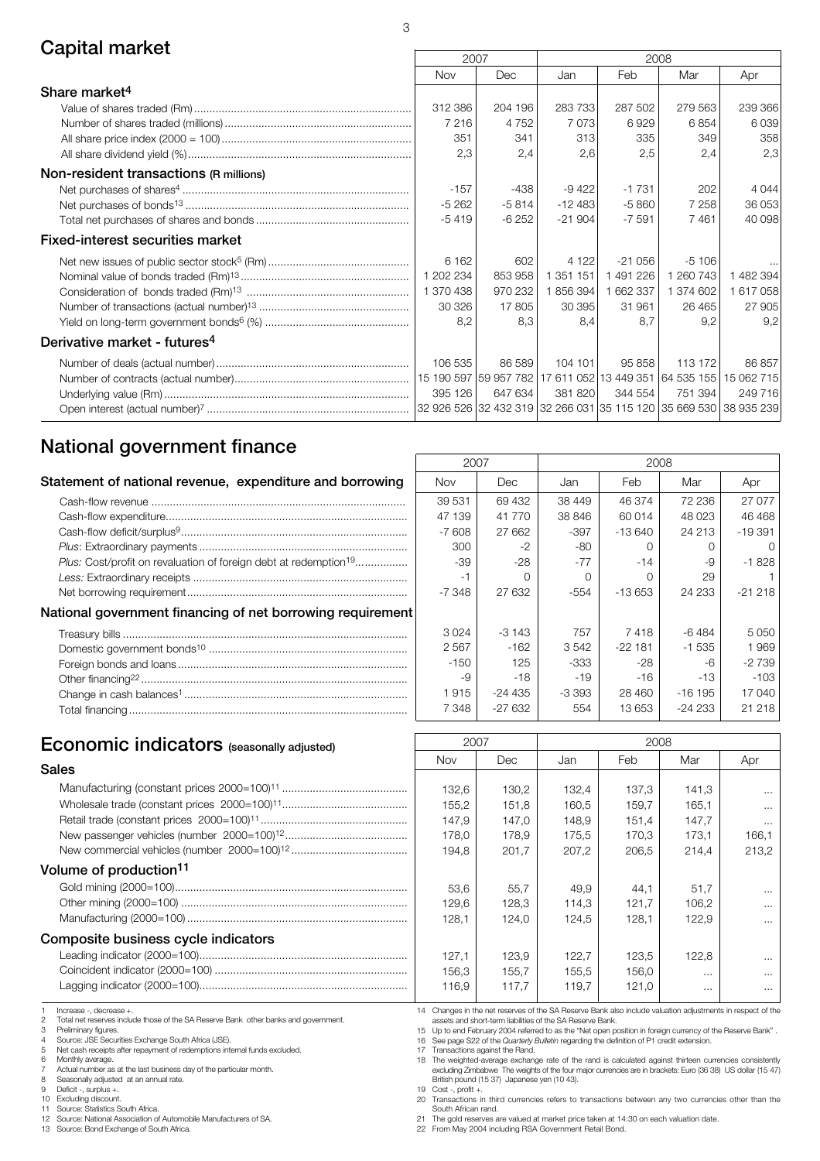## **Capital market**

|                                          | 2007                                                              |         |                                                                   |           | 2008      |           |
|------------------------------------------|-------------------------------------------------------------------|---------|-------------------------------------------------------------------|-----------|-----------|-----------|
|                                          | Nov                                                               | Dec     | Jan                                                               | Feb       | Mar       | Apr       |
| Share market <sup>4</sup>                |                                                                   |         |                                                                   |           |           |           |
|                                          | 312 386                                                           | 204 196 | 283 733                                                           | 287 502   | 279 563   | 239 366   |
|                                          | 7 2 1 6                                                           | 4752    | 7 0 7 3                                                           | 6929      | 6854      | 6039      |
|                                          | 351                                                               | 341     | 313                                                               | 335       | 349       | 358       |
|                                          | 2,3                                                               | 2,4     | 2,6                                                               | 2,5       | 2,4       | 2,3       |
| Non-resident transactions (R millions)   |                                                                   |         |                                                                   |           |           |           |
|                                          | $-157$                                                            | -438    | $-9422$                                                           | $-1731$   | 202       | 4 0 4 4   |
|                                          | $-5262$                                                           | $-5814$ | $-12483$                                                          | $-5860$   | 7 2 5 8   | 36 053    |
|                                          | $-5419$                                                           | $-6252$ | $-21904$                                                          | $-7591$   | 7461      | 40 098    |
| <b>Fixed-interest securities market</b>  |                                                                   |         |                                                                   |           |           |           |
|                                          | 6 1 6 2                                                           | 602     | 4 1 2 2                                                           | $-21056$  | $-5106$   |           |
|                                          | 1 202 234                                                         | 853 958 | 1 351 151                                                         | 1491226   | 1 260 743 | 1 482 394 |
|                                          | 1 370 438                                                         | 970 232 | 1856394                                                           | 1 662 337 | 1 374 602 | 617058    |
|                                          | 30 326                                                            | 17805   | 30 395                                                            | 31 961    | 26 4 65   | 27 905    |
|                                          | 8,2                                                               | 8.3     | 8,4                                                               | 8.7       | 9,2       | 9,2       |
| Derivative market - futures <sup>4</sup> |                                                                   |         |                                                                   |           |           |           |
|                                          | 106 535                                                           | 86 589  | 104 101                                                           | 95858     | 113 172   | 86857     |
|                                          |                                                                   |         | 15 190 597 59 957 782 17 611 052 13 449 351 64 535 155 15 062 715 |           |           |           |
|                                          | 395 126                                                           | 647 634 | 381 820                                                           | 344 554   | 751 394   | 249 716   |
|                                          | 32 926 526 32 432 319 32 266 031 35 115 120 35 669 530 38 935 239 |         |                                                                   |           |           |           |

 $\sqrt{ }$ 

## **National government finance**

| Statement of national revenue, expenditure and borrowing                            | <b>Nov</b> | Dec      | Jan    | Feb      | Mar      | Apr             |
|-------------------------------------------------------------------------------------|------------|----------|--------|----------|----------|-----------------|
|                                                                                     | 39 531     | 69 432   | 38 449 | 46 374   | 72 236   | 27 <sup>°</sup> |
|                                                                                     | 47 139     | 41 770   | 38 846 | 60 014   | 48 023   | 46 <sup>2</sup> |
|                                                                                     | $-7608$    | 27 662   | $-397$ | $-13640$ | 24 213   | $-193$          |
|                                                                                     | 300        | $-2$     | -80    |          |          |                 |
| <i>Plus:</i> Cost/profit on revaluation of foreign debt at redemption <sup>19</sup> | $-39$      | $-28$    | $-77$  | $-14$    | -9       | $-18$           |
|                                                                                     |            |          |        |          | 29       |                 |
|                                                                                     | -7 348     | 27 632   | -554   | $-13653$ | 24 233   | $-212$          |
| National government financing of net borrowing requirement                          |            |          |        |          |          |                 |
|                                                                                     | 3024       | $-3143$  | 757    | 7418     | $-6484$  | 50              |
|                                                                                     | 2567       | $-162$   | 3542   | $-22181$ | $-1535$  | 1 <sup>5</sup>  |
|                                                                                     | $-150$     | 125      | -333   | $-28$    | -6       | $-27$           |
|                                                                                     | -9         | $-18$    | $-19$  | $-16$    | $-13$    | $\mathcal{L}$   |
|                                                                                     | 1915       | -24 435  | -3 393 | 28 460   | $-16195$ | 17 <sub>0</sub> |
|                                                                                     | 7 348      | $-27632$ | 554    | 13 653   | $-24233$ | 21 <sup>2</sup> |
|                                                                                     |            |          |        |          |          |                 |

| 2007    |         | 2008   |          |          |                  |  |  |
|---------|---------|--------|----------|----------|------------------|--|--|
| Nov     | Dec     | Jan    | Feb      | Mar      | Apr              |  |  |
| 39 531  | 69 432  | 38 449 | 46 374   | 72 236   | 27 077           |  |  |
| 47 139  | 41 770  | 38 846 | 60 014   | 48023    | 46 468           |  |  |
| $-7608$ | 27 662  | -397   | $-13640$ | 24 213   | -19391           |  |  |
| 300     | $-2$    | -80    | Ω        | Ω        | $\left( \right)$ |  |  |
| -39     | -28     | $-77$  | -14      | -9       | $-1828$          |  |  |
| -1      | ∩       | ∩      | Ω        | 29       |                  |  |  |
| -7 348  | 27 632  | $-554$ | -13 653  | 24 233   | -21 218          |  |  |
|         |         |        |          |          |                  |  |  |
| 3024    | $-3143$ | 757    | 7418     | -6484    | 5 0 5 0          |  |  |
| 2567    | $-162$  | 3542   | $-22181$ | $-1535$  | 1969             |  |  |
| $-150$  | 125     | -333   | $-28$    | -6       | $-2739$          |  |  |
| -9      | -18     | -19    | -16      | -13      | $-103$           |  |  |
| 1915    | -24 435 | -3 393 | 28 460   | $-16195$ | 17040            |  |  |
| 7 348   | -27 632 | 554    | 13 653   | -24 233  | 21 218           |  |  |

# **Economic indicators** (seasonally adjusted)  $\begin{array}{|c|c|c|c|c|}\n\hline\n\text{2007} & \text{2008} \\
\hline\n\text{Nov} & \text{Dec} & \text{Jan} & \text{Feb} \\
\hline\n\end{array}$

## Nov Dec Jan Feb Mar Apr **Sales**

#### **Volume of production11**

#### **Composite business cycle indicators**

Increase -, decrease +

2 Total net reserves include those of the SA Reserve Bank other banks and government.<br>3 Preliminary figures.

Preliminary figures.

4 Source: JSE Securities Exchange South Africa (JSE). 5 Net cash receipts after repayment of redemptions internal funds excluded.

6 Monthly average.

7 Actual number as at the last business day of the particular month.<br>8 Seasonally adjusted at an annual rate.

8 Seasonally adjusted at an annual rate.<br>9 Deficit -, surnlus +.

9 Deficit -, surplus +.<br>10 Excluding discount

10 Excluding discount.<br>11 Source: Statistics S

11 Source: Statistics South Africa.<br>12 Source: National Association of 12 Source: National Association of Automobile Manufacturers of SA.<br>13 Source: Bond Exchange of South Africa.

Source: Bond Exchange of South Africa.

14 Changes in the net reserves of the SA Reserve Bank also include valuation adjustments in respect of the assets and short-term liabilities of the SA Reserve Bank.

53,6 55,7 49,9 44,1 51,7 ... 129,6 | 128,3 | 114,3 | 121,7 | 106,2 | ...  $128,1$  124,0 124,5 128,1 122,9 ...

132,6 | 130,2 | 132,4 | 137,3 | 141,3 | ... 155,2 | 151,8 | 160,5 | 159,7 | 165,1 | ... 147,9 | 147,0 | 148,9 | 151,4 | 147,7 | ... 178,0 | 178,9 | 175,5 | 170,3 | 173,1 | 166,1 194,8 201,7 207,2 206,5 214,4 213,2

 $127,1$  123,9 122,7 123,5 122,8 ... 156,3 | 155,7 | 155,5 | 156,0 | ... | ... 116,9 117,7 119,7 121,0 ... ... ...

15 Up to end February 2004 referred to as the "Net open position in foreign currency of the Reserve Bank" . 16 See page S22 of the *Quarterly Bulletin* regarding the definition of P1 credit extension.

17 Transactions against the Rand. 18 The weighted-average exchange rate of the rand is calculated against thirteen currencies consistently excluding Zimbabwe The weights of the four major currencies are in brackets: Euro (36 38) US dollar (15 47) British pound (15 37) Japanese yen (10 43).

19 Cost -, profit +. 20 Transactions in third currencies refers to transactions between any two currencies other than the

South African rand. 21 The gold reserves are valued at market price taken at 14:30 on each valuation date.

22 From May 2004 including RSA Government Retail Bond.